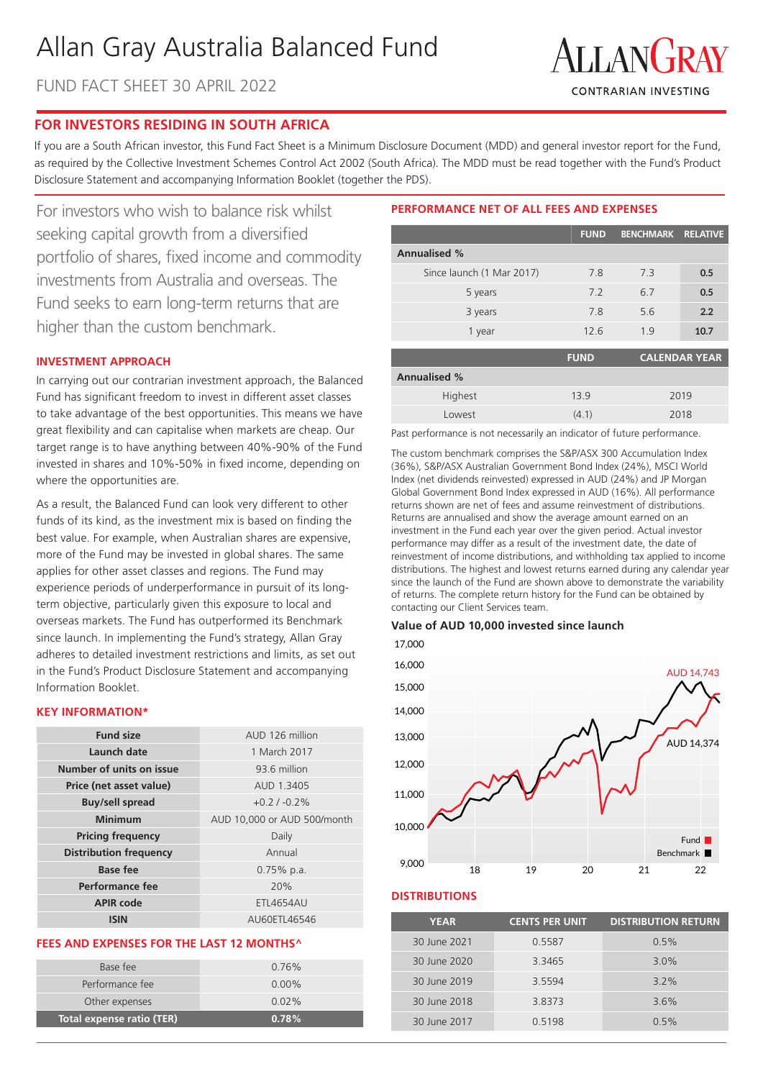# Allan Gray Australia Balanced Fund

FUND FACT SHEET 30 APRIL 2022



## **FOR INVESTORS RESIDING IN SOUTH AFRICA**

If you are a South African investor, this Fund Fact Sheet is a Minimum Disclosure Document (MDD) and general investor report for the Fund, as required by the Collective Investment Schemes Control Act 2002 (South Africa). The MDD must be read together with the Fund's Product Disclosure Statement and accompanying Information Booklet (together the PDS).

For investors who wish to balance risk whilst seeking capital growth from a diversified portfolio of shares, fixed income and commodity investments from Australia and overseas. The Fund seeks to earn long-term returns that are higher than the custom benchmark.

## **INVESTMENT APPROACH**

In carrying out our contrarian investment approach, the Balanced Fund has significant freedom to invest in different asset classes to take advantage of the best opportunities. This means we have great flexibility and can capitalise when markets are cheap. Our target range is to have anything between 40%-90% of the Fund invested in shares and 10%-50% in fixed income, depending on where the opportunities are.

As a result, the Balanced Fund can look very different to other funds of its kind, as the investment mix is based on finding the best value. For example, when Australian shares are expensive, more of the Fund may be invested in global shares. The same applies for other asset classes and regions. The Fund may experience periods of underperformance in pursuit of its longterm objective, particularly given this exposure to local and overseas markets. The Fund has outperformed its Benchmark since launch. In implementing the Fund's strategy, Allan Gray adheres to detailed investment restrictions and limits, as set out in the Fund's Product Disclosure Statement and accompanying Information Booklet.

### **KEY INFORMATION\***

| <b>Fund size</b>              | AUD 126 million             |
|-------------------------------|-----------------------------|
| Launch date                   | 1 March 2017                |
| Number of units on issue      | 93.6 million                |
| Price (net asset value)       | AUD 1.3405                  |
| <b>Buy/sell spread</b>        | $+0.2/ -0.2\%$              |
| <b>Minimum</b>                | AUD 10,000 or AUD 500/month |
| <b>Pricing frequency</b>      | Daily                       |
| <b>Distribution frequency</b> | Annual                      |
| <b>Base fee</b>               | $0.75\%$ p.a.               |
| Performance fee               | 20%                         |
| <b>APIR code</b>              | <b>ETL4654AU</b>            |
| ISIN                          | AU60ETL46546                |

#### **FEES AND EXPENSES FOR THE LAST 12 MONTHS^**

| Total expense ratio (TER) | 0.78%    |
|---------------------------|----------|
| Other expenses            | $0.02\%$ |
| Performance fee           | $0.00\%$ |
| Base fee                  | $0.76\%$ |
|                           |          |

## **PERFORMANCE NET OF ALL FEES AND EXPENSES**

|                           | <b>FUND</b> | <b>BENCHMARK RELATIVE</b> |                      |
|---------------------------|-------------|---------------------------|----------------------|
| <b>Annualised %</b>       |             |                           |                      |
| Since launch (1 Mar 2017) | 7.8         | 73                        | 0.5                  |
| 5 years                   | 7.2         | 6.7                       | 0.5                  |
| 3 years                   | 7.8         | 5.6                       | 2.2                  |
| 1 year                    | 12.6        | 19                        | 10.7                 |
|                           | <b>FUND</b> |                           | <b>CALENDAR YEAR</b> |

|                     | ____  |      |
|---------------------|-------|------|
| <b>Annualised %</b> |       |      |
| Highest             | 13.9  | 2019 |
| Lowest              | (4.1) | 2018 |

Past performance is not necessarily an indicator of future performance.

The custom benchmark comprises the S&P/ASX 300 Accumulation Index (36%), S&P/ASX Australian Government Bond Index (24%), MSCI World Index (net dividends reinvested) expressed in AUD (24%) and JP Morgan Global Government Bond Index expressed in AUD (16%). All performance returns shown are net of fees and assume reinvestment of distributions. Returns are annualised and show the average amount earned on an investment in the Fund each year over the given period. Actual investor performance may differ as a result of the investment date, the date of reinvestment of income distributions, and withholding tax applied to income distributions. The highest and lowest returns earned during any calendar year since the launch of the Fund are shown above to demonstrate the variability of returns. The complete return history for the Fund can be obtained by contacting our Client Services team.

## **Value of AUD 10,000 invested since launch**



#### **DISTRIBUTIONS**

| <b>YEAR</b>  | <b>CENTS PER UNIT</b> | <b>DISTRIBUTION RETURN</b> |
|--------------|-----------------------|----------------------------|
| 30 June 2021 | 0.5587                | 0.5%                       |
| 30 June 2020 | 3.3465                | 3.0%                       |
| 30 June 2019 | 3.5594                | $3.2\%$                    |
| 30 June 2018 | 3.8373                | 3.6%                       |
| 30 June 2017 | 0.5198                | 0.5%                       |